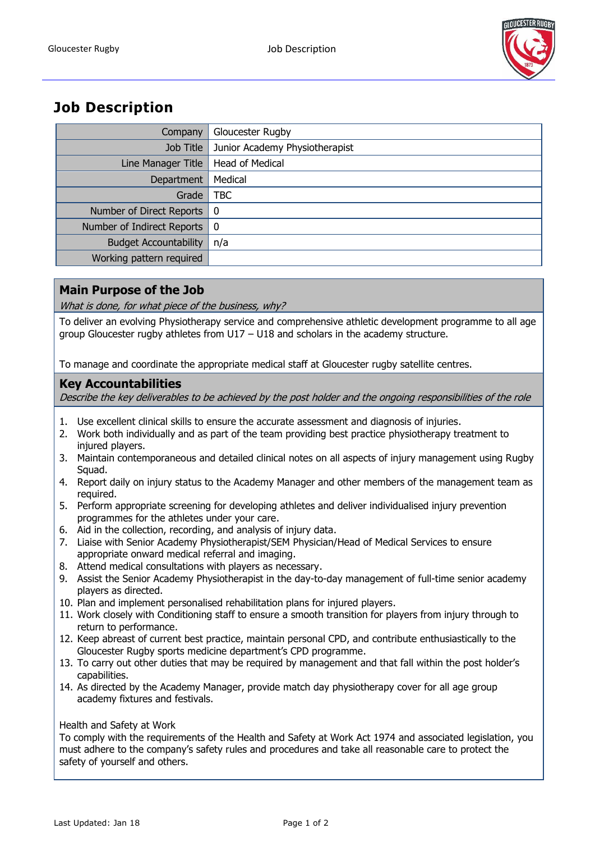

# **Job Description**

| Company                      | Gloucester Rugby               |
|------------------------------|--------------------------------|
| Job Title                    | Junior Academy Physiotherapist |
| Line Manager Title           | Head of Medical                |
| Department                   | Medical                        |
| Grade                        | <b>TBC</b>                     |
| Number of Direct Reports     | - 0                            |
| Number of Indirect Reports   | - 0                            |
| <b>Budget Accountability</b> | n/a                            |
| Working pattern required     |                                |

## **Main Purpose of the Job**

What is done, for what piece of the business, why?

To deliver an evolving Physiotherapy service and comprehensive athletic development programme to all age group Gloucester rugby athletes from U17 – U18 and scholars in the academy structure.

To manage and coordinate the appropriate medical staff at Gloucester rugby satellite centres.

### **Key Accountabilities**

Describe the key deliverables to be achieved by the post holder and the ongoing responsibilities of the role

- 1. Use excellent clinical skills to ensure the accurate assessment and diagnosis of injuries.
- 2. Work both individually and as part of the team providing best practice physiotherapy treatment to injured players.
- 3. Maintain contemporaneous and detailed clinical notes on all aspects of injury management using Rugby Squad.
- 4. Report daily on injury status to the Academy Manager and other members of the management team as required.
- 5. Perform appropriate screening for developing athletes and deliver individualised injury prevention programmes for the athletes under your care.
- 6. Aid in the collection, recording, and analysis of injury data.
- 7. Liaise with Senior Academy Physiotherapist/SEM Physician/Head of Medical Services to ensure appropriate onward medical referral and imaging.
- 8. Attend medical consultations with players as necessary.
- 9. Assist the Senior Academy Physiotherapist in the day-to-day management of full-time senior academy players as directed.
- 10. Plan and implement personalised rehabilitation plans for injured players.
- 11. Work closely with Conditioning staff to ensure a smooth transition for players from injury through to return to performance.
- 12. Keep abreast of current best practice, maintain personal CPD, and contribute enthusiastically to the Gloucester Rugby sports medicine department's CPD programme.
- 13. To carry out other duties that may be required by management and that fall within the post holder's capabilities.
- 14. As directed by the Academy Manager, provide match day physiotherapy cover for all age group academy fixtures and festivals.

#### Health and Safety at Work

To comply with the requirements of the Health and Safety at Work Act 1974 and associated legislation, you must adhere to the company's safety rules and procedures and take all reasonable care to protect the safety of yourself and others.